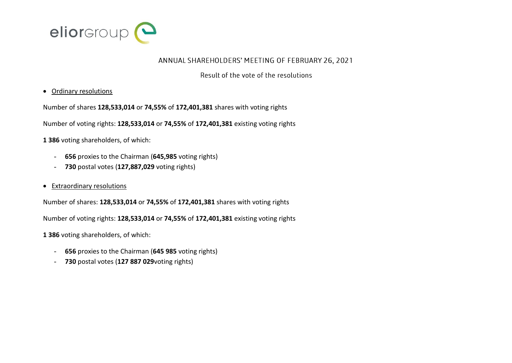

## ANNUAL SHAREHOLDERS' MEETING OF FEBRUARY 26, 2021

Result of the vote of the resolutions

## Ordinary resolutions

Number of shares **128,533,014** or **74,55%** of **172,401,381** shares with voting rights

Number of voting rights: **128,533,014** or **74,55%** of **172,401,381** existing voting rights

**1 386** voting shareholders, of which:

- **656** proxies to the Chairman (**645,985** voting rights)
- **730** postal votes (**127,887,029** voting rights)
- Extraordinary resolutions

Number of shares: **128,533,014** or **74,55%** of **172,401,381** shares with voting rights

Number of voting rights: **128,533,014** or **74,55%** of **172,401,381** existing voting rights

**1 386** voting shareholders, of which:

- **656** proxies to the Chairman (**645 985** voting rights)
- **730** postal votes (**127 887 029**voting rights)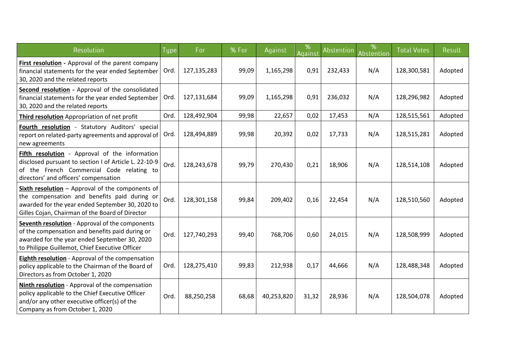| Resolution                                                                                                                                                                                                | Type | For         | % For | Against    | %<br>Against | Abstention | %<br>Abstention | <b>Total Votes</b> | Result  |
|-----------------------------------------------------------------------------------------------------------------------------------------------------------------------------------------------------------|------|-------------|-------|------------|--------------|------------|-----------------|--------------------|---------|
| First resolution - Approval of the parent company<br>financial statements for the year ended September<br>30, 2020 and the related reports                                                                | Ord. | 127,135,283 | 99,09 | 1,165,298  | 0,91         | 232,433    | N/A             | 128,300,581        | Adopted |
| Second resolution - Approval of the consolidated<br>financial statements for the year ended September<br>30, 2020 and the related reports                                                                 | Ord. | 127,131,684 | 99,09 | 1,165,298  | 0,91         | 236,032    | N/A             | 128,296,982        | Adopted |
| Third resolution Appropriation of net profit                                                                                                                                                              | Ord. | 128,492,904 | 99,98 | 22,657     | 0,02         | 17,453     | N/A             | 128,515,561        | Adopted |
| Fourth resolution - Statutory Auditors' special<br>report on related-party agreements and approval of<br>new agreements                                                                                   | Ord. | 128,494,889 | 99,98 | 20,392     | 0,02         | 17,733     | N/A             | 128,515,281        | Adopted |
| Fifth resolution - Approval of the information<br>disclosed pursuant to section I of Article L. 22-10-9<br>of the French Commercial Code relating to<br>directors' and officers' compensation             | Ord. | 128,243,678 | 99,79 | 270,430    | 0,21         | 18,906     | N/A             | 128,514,108        | Adopted |
| Sixth resolution $-$ Approval of the components of<br>the compensation and benefits paid during or<br>awarded for the year ended September 30, 2020 to<br>Gilles Cojan, Chairman of the Board of Director | Ord. | 128,301,158 | 99,84 | 209,402    | 0,16         | 22,454     | N/A             | 128,510,560        | Adopted |
| Seventh resolution - Approval of the components<br>of the compensation and benefits paid during or<br>awarded for the year ended September 30, 2020<br>to Philippe Guillemot, Chief Executive Officer     | Ord. | 127,740,293 | 99,40 | 768,706    | 0,60         | 24,015     | N/A             | 128,508,999        | Adopted |
| Eighth resolution - Approval of the compensation<br>policy applicable to the Chairman of the Board of<br>Directors as from October 1, 2020                                                                | Ord. | 128,275,410 | 99,83 | 212,938    | 0,17         | 44,666     | N/A             | 128,488,348        | Adopted |
| Ninth resolution - Approval of the compensation<br>policy applicable to the Chief Executive Officer<br>and/or any other executive officer(s) of the<br>Company as from October 1, 2020                    | Ord. | 88,250,258  | 68,68 | 40,253,820 | 31,32        | 28,936     | N/A             | 128,504,078        | Adopted |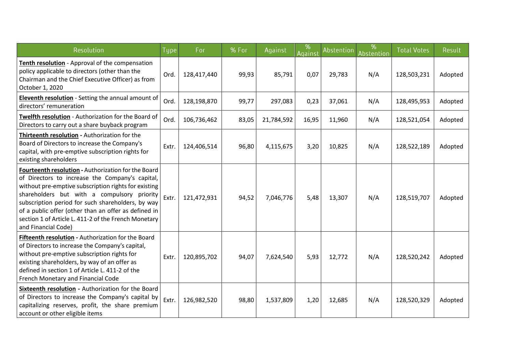| Resolution                                                                                                                                                                                                                                                                                                                                                                                                | Type <sup>1</sup> | For         | % For | Against    | %<br>Against | Abstention | %<br>Abstention | <b>Total Votes</b> | Result  |
|-----------------------------------------------------------------------------------------------------------------------------------------------------------------------------------------------------------------------------------------------------------------------------------------------------------------------------------------------------------------------------------------------------------|-------------------|-------------|-------|------------|--------------|------------|-----------------|--------------------|---------|
| Tenth resolution - Approval of the compensation<br>policy applicable to directors (other than the<br>Chairman and the Chief Executive Officer) as from<br>October 1, 2020                                                                                                                                                                                                                                 | Ord.              | 128,417,440 | 99,93 | 85,791     | 0,07         | 29,783     | N/A             | 128,503,231        | Adopted |
| <b>Eleventh resolution</b> - Setting the annual amount of<br>directors' remuneration                                                                                                                                                                                                                                                                                                                      | Ord.              | 128,198,870 | 99,77 | 297,083    | 0,23         | 37,061     | N/A             | 128,495,953        | Adopted |
| Twelfth resolution - Authorization for the Board of<br>Directors to carry out a share buyback program                                                                                                                                                                                                                                                                                                     | Ord.              | 106,736,462 | 83,05 | 21,784,592 | 16,95        | 11,960     | N/A             | 128,521,054        | Adopted |
| Thirteenth resolution - Authorization for the<br>Board of Directors to increase the Company's<br>capital, with pre-emptive subscription rights for<br>existing shareholders                                                                                                                                                                                                                               | Extr.             | 124,406,514 | 96,80 | 4,115,675  | 3,20         | 10,825     | N/A             | 128,522,189        | Adopted |
| Fourteenth resolution - Authorization for the Board<br>of Directors to increase the Company's capital,<br>without pre-emptive subscription rights for existing<br>shareholders but with a compulsory priority<br>subscription period for such shareholders, by way<br>of a public offer (other than an offer as defined in<br>section 1 of Article L. 411-2 of the French Monetary<br>and Financial Code) | Extr.             | 121,472,931 | 94,52 | 7,046,776  | 5,48         | 13,307     | N/A             | 128,519,707        | Adopted |
| Fifteenth resolution - Authorization for the Board<br>of Directors to increase the Company's capital,<br>without pre-emptive subscription rights for<br>existing shareholders, by way of an offer as<br>defined in section 1 of Article L. 411-2 of the<br>French Monetary and Financial Code                                                                                                             | Extr.             | 120,895,702 | 94,07 | 7,624,540  | 5,93         | 12,772     | N/A             | 128,520,242        | Adopted |
| Sixteenth resolution - Authorization for the Board<br>of Directors to increase the Company's capital by<br>capitalizing reserves, profit, the share premium<br>account or other eligible items                                                                                                                                                                                                            | Extr.             | 126,982,520 | 98,80 | 1,537,809  | 1,20         | 12,685     | N/A             | 128,520,329        | Adopted |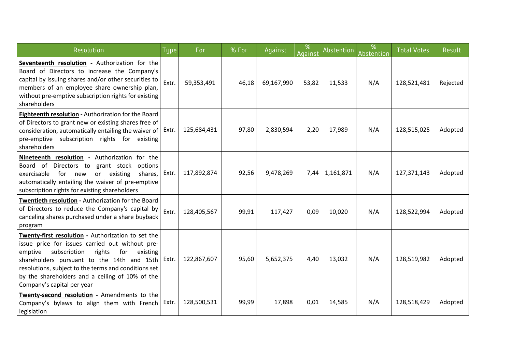| Resolution                                                                                                                                                                                                                                                                                                                                           | Type  | For         | % For | Against    | %<br>Against | <b>Abstention</b> | $\frac{9}{6}$<br>Abstention | <b>Total Votes</b> | Result   |
|------------------------------------------------------------------------------------------------------------------------------------------------------------------------------------------------------------------------------------------------------------------------------------------------------------------------------------------------------|-------|-------------|-------|------------|--------------|-------------------|-----------------------------|--------------------|----------|
| Seventeenth resolution - Authorization for the<br>Board of Directors to increase the Company's<br>capital by issuing shares and/or other securities to<br>members of an employee share ownership plan,<br>without pre-emptive subscription rights for existing<br>shareholders                                                                       | Extr. | 59,353,491  | 46,18 | 69,167,990 | 53,82        | 11,533            | N/A                         | 128,521,481        | Rejected |
| Eighteenth resolution - Authorization for the Board<br>of Directors to grant new or existing shares free of<br>consideration, automatically entailing the waiver of $\vert$ Extr.<br>pre-emptive subscription rights for existing<br>shareholders                                                                                                    |       | 125,684,431 | 97,80 | 2,830,594  | 2,20         | 17,989            | N/A                         | 128,515,025        | Adopted  |
| Nineteenth resolution - Authorization for the<br>Board of Directors to<br>grant stock<br>options<br>for<br>exercisable<br>existing<br>shares,<br>new<br>or<br>automatically entailing the waiver of pre-emptive<br>subscription rights for existing shareholders                                                                                     | Extr. | 117,892,874 | 92,56 | 9,478,269  | 7,44         | 1,161,871         | N/A                         | 127,371,143        | Adopted  |
| Twentieth resolution - Authorization for the Board<br>of Directors to reduce the Company's capital by<br>canceling shares purchased under a share buyback<br>program                                                                                                                                                                                 | Extr. | 128,405,567 | 99,91 | 117,427    | 0,09         | 10,020            | N/A                         | 128,522,994        | Adopted  |
| Twenty-first resolution - Authorization to set the<br>issue price for issues carried out without pre-<br>subscription<br>rights<br>for<br>emptive<br>existing<br>shareholders pursuant to the 14th and 15th<br>resolutions, subject to the terms and conditions set<br>by the shareholders and a ceiling of 10% of the<br>Company's capital per year | Extr. | 122,867,607 | 95,60 | 5,652,375  | 4,40         | 13,032            | N/A                         | 128,519,982        | Adopted  |
| Twenty-second resolution - Amendments to the<br>Company's bylaws to align them with French<br>legislation                                                                                                                                                                                                                                            | Extr. | 128,500,531 | 99,99 | 17,898     | 0,01         | 14,585            | N/A                         | 128,518,429        | Adopted  |